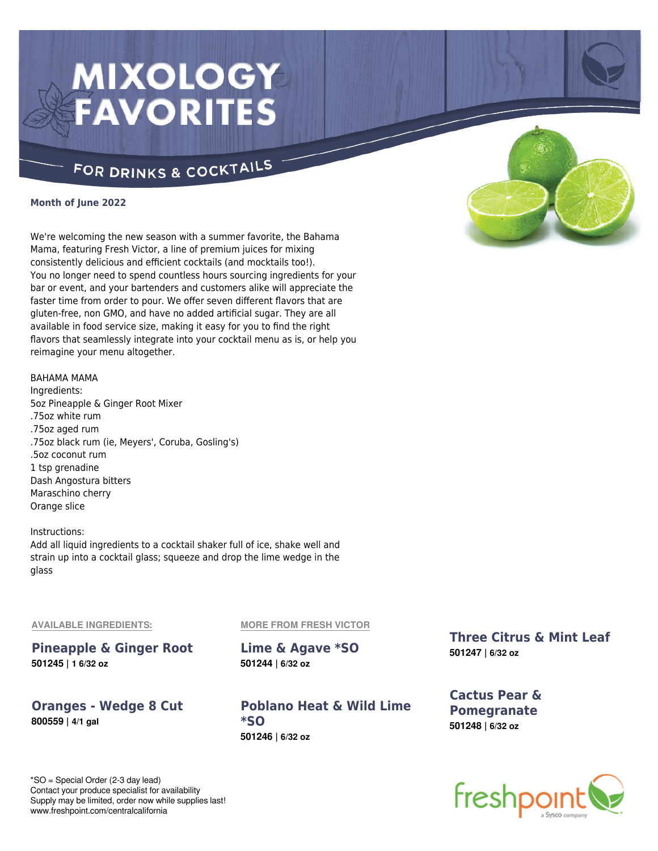# **MIXOLOGY FAVORITES**

# FOR DRINKS & COCKTAILS

### **Month of June 2022**

We're welcoming the new season with a summer favorite, the Bahama Mama, featuring Fresh Victor, a line of premium juices for mixing consistently delicious and efficient cocktails (and mocktails too!). You no longer need to spend countless hours sourcing ingredients for your bar or event, and your bartenders and customers alike will appreciate the faster time from order to pour. We offer seven different flavors that are gluten-free, non GMO, and have no added artificial sugar. They are all available in food service size, making it easy for you to find the right flavors that seamlessly integrate into your cocktail menu as is, or help you reimagine your menu altogether.

### BAHAMA MAMA

Ingredients: 5oz Pineapple & Ginger Root Mixer .75oz white rum .75oz aged rum .75oz black rum (ie, Meyers', Coruba, Gosling's) .5oz coconut rum 1 tsp grenadine Dash Angostura bitters Maraschino cherry Orange slice

### Instructions: Add all liquid ingredients to a cocktail shaker full of ice, shake well and strain up into a cocktail glass; squeeze and drop the lime wedge in the glass

#### **AVAILABLE INGREDIENTS:**

**Pineapple & Ginger Root 501245 | 1 6/32 oz**

**Oranges - Wedge 8 Cut 800559 | 4/1 gal**

**MORE FROM FRESH VICTOR**

**Lime & Agave \*SO 501244 | 6/32 oz**

**Poblano Heat & Wild Lime \*SO 501246 | 6/32 oz**

**Three Citrus & Mint Leaf 501247 | 6/32 oz**

**Cactus Pear & Pomegranate 501248 | 6/32 oz**





\*SO = Special Order (2-3 day lead) Contact your produce specialist for availability Supply may be limited, order now while supplies last! www.freshpoint.com/centralcalifornia